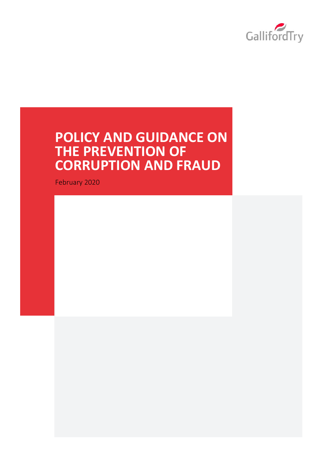

# **POLICY AND GUIDANCE ON THE PREVENTION OF CORRUPTION AND FRAUD**

February 2020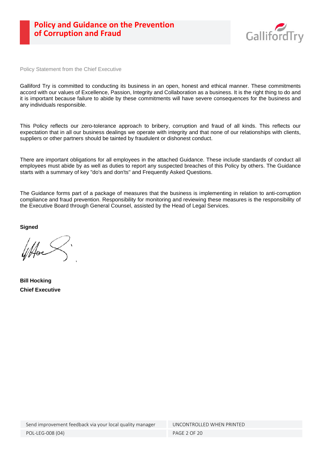

Policy Statement from the Chief Executive

Galliford Try is committed to conducting its business in an open, honest and ethical manner. These commitments accord with our values of Excellence, Passion, Integrity and Collaboration as a business. It is the right thing to do and it is important because failure to abide by these commitments will have severe consequences for the business and any individuals responsible.

This Policy reflects our zero-tolerance approach to bribery, corruption and fraud of all kinds. This reflects our expectation that in all our business dealings we operate with integrity and that none of our relationships with clients, suppliers or other partners should be tainted by fraudulent or dishonest conduct.

There are important obligations for all employees in the attached Guidance. These include standards of conduct all employees must abide by as well as duties to report any suspected breaches of this Policy by others. The Guidance starts with a summary of key "do's and don'ts" and Frequently Asked Questions.

The Guidance forms part of a package of measures that the business is implementing in relation to anti-corruption compliance and fraud prevention. Responsibility for monitoring and reviewing these measures is the responsibility of the Executive Board through General Counsel, assisted by the Head of Legal Services.

**Signed**

**Bill Hocking Chief Executive**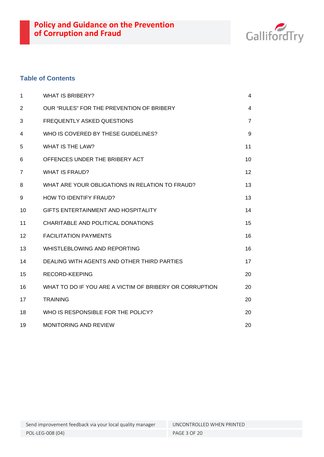

# **Table of Contents**

| $\mathbf 1$ | <b>WHAT IS BRIBERY?</b>                                 | 4                 |
|-------------|---------------------------------------------------------|-------------------|
| 2           | OUR "RULES" FOR THE PREVENTION OF BRIBERY               | 4                 |
| 3           | <b>FREQUENTLY ASKED QUESTIONS</b>                       | $\overline{7}$    |
| 4           | WHO IS COVERED BY THESE GUIDELINES?                     | 9                 |
| 5           | <b>WHAT IS THE LAW?</b>                                 | 11                |
| 6           | OFFENCES UNDER THE BRIBERY ACT                          | 10                |
| 7           | <b>WHAT IS FRAUD?</b>                                   | $12 \overline{ }$ |
| 8           | WHAT ARE YOUR OBLIGATIONS IN RELATION TO FRAUD?         | 13                |
| 9           | <b>HOW TO IDENTIFY FRAUD?</b>                           | 13                |
| 10          | GIFTS ENTERTAINMENT AND HOSPITALITY                     | 14                |
| 11          | CHARITABLE AND POLITICAL DONATIONS                      | 15                |
| 12          | <b>FACILITATION PAYMENTS</b>                            | 16                |
| 13          | WHISTLEBLOWING AND REPORTING                            | 16                |
| 14          | DEALING WITH AGENTS AND OTHER THIRD PARTIES             | 17                |
| 15          | <b>RECORD-KEEPING</b>                                   | 20                |
| 16          | WHAT TO DO IF YOU ARE A VICTIM OF BRIBERY OR CORRUPTION | 20                |
| 17          | <b>TRAINING</b>                                         | 20                |
| 18          | WHO IS RESPONSIBLE FOR THE POLICY?                      | 20                |
| 19          | <b>MONITORING AND REVIEW</b>                            | 20                |

Send improvement feedback via your local quality manager UNCONTROLLED WHEN PRINTED

POL-LEG-008 (04) PAGE 3 OF 20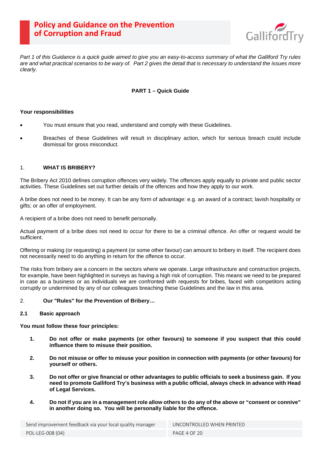

<span id="page-3-0"></span>*Part 1 of this Guidance is a quick guide aimed to give you an easy-to-access summary of what the Galliford Try rules are and what practical scenarios to be wary of. Part 2 gives the detail that is necessary to understand the issues more clearly.*

# **PART 1 – Quick Guide**

# **Your responsibilities**

- You must ensure that you read, understand and comply with these Guidelines.
- Breaches of these Guidelines will result in disciplinary action, which for serious breach could include dismissal for gross misconduct.

# 1. **WHAT IS BRIBERY?**

The Bribery Act 2010 defines corruption offences very widely. The offences apply equally to private and public sector activities. These Guidelines set out further details of the offences and how they apply to our work.

A bribe does not need to be money. It can be any form of advantage: e.g. an award of a contract; lavish hospitality or gifts; or an offer of employment.

A recipient of a bribe does not need to benefit personally.

Actual payment of a bribe does not need to occur for there to be a criminal offence. An offer or request would be sufficient.

Offering or making (or requesting) a payment (or some other favour) can amount to bribery in itself. The recipient does not necessarily need to do anything in return for the offence to occur.

The risks from bribery are a concern in the sectors where we operate. Large infrastructure and construction projects, for example, have been highlighted in surveys as having a high risk of corruption. This means we need to be prepared in case as a business or as individuals we are confronted with requests for bribes, faced with competitors acting corruptly or undermined by any of our colleagues breaching these Guidelines and the law in this area.

### 2. **Our "Rules" for the Prevention of Bribery…**

### **2.1 Basic approach**

**You must follow these four principles:**

- **1. Do not offer or make payments (or other favours) to someone if you suspect that this could influence them to misuse their position.**
- **2. Do not misuse or offer to misuse your position in connection with payments (or other favours) for yourself or others.**
- **3. Do not offer or give financial or other advantages to public officials to seek a business gain. If you need to promote Galliford Try's business with a public official, always check in advance with Head of Legal Services.**
- **4. Do not if you are in a management role allow others to do any of the above or "consent or connive" in another doing so. You will be personally liable for the offence.**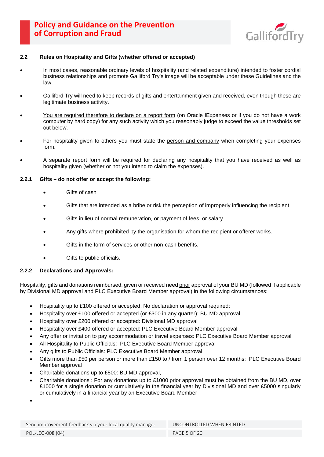

### **2.2 Rules on Hospitality and Gifts (whether offered or accepted)**

- In most cases, reasonable ordinary levels of hospitality (and related expenditure) intended to foster cordial business relationships and promote Galliford Try's image will be acceptable under these Guidelines and the law.
- Galliford Try will need to keep records of gifts and entertainment given and received, even though these are legitimate business activity.
- You are required therefore to declare on a report form (on Oracle IExpenses or if you do not have a work computer by hard copy) for any such activity which you reasonably judge to exceed the value thresholds set out below.
- For hospitality given to others you must state the person and company when completing your expenses form.
- A separate report form will be required for declaring any hospitality that you have received as well as hospitality given (whether or not you intend to claim the expenses).

# **2.2.1 Gifts – do not offer or accept the following:**

- Gifts of cash
- Gifts that are intended as a bribe or risk the perception of improperly influencing the recipient
- Gifts in lieu of normal remuneration, or payment of fees, or salary
- Any gifts where prohibited by the organisation for whom the recipient or offerer works.
- Gifts in the form of services or other non-cash benefits,
- Gifts to public officials.

# **2.2.2 Declarations and Approvals:**

Hospitality, gifts and donations reimbursed, given or received need prior approval of your BU MD (followed if applicable by Divisional MD approval and PLC Executive Board Member approval) in the following circumstances:

- Hospitality up to £100 offered or accepted: No declaration or approval required:
- Hospitality over £100 offered or accepted (or £300 in any quarter): BU MD approval
- Hospitality over £200 offered or accepted: Divisional MD approval
- Hospitality over £400 offered or accepted: PLC Executive Board Member approval
- Any offer or invitation to pay accommodation or travel expenses: PLC Executive Board Member approval
- All Hospitality to Public Officials: PLC Executive Board Member approval
- Any gifts to Public Officials: PLC Executive Board Member approval
- Gifts more than £50 per person or more than £150 to / from 1 person over 12 months: PLC Executive Board Member approval
- Charitable donations up to £500: BU MD approval,
- Charitable donations : For any donations up to £1000 prior approval must be obtained from the BU MD, over £1000 for a single donation or cumulatively in the financial year by Divisional MD and over £5000 singularly or cumulatively in a financial year by an Executive Board Member

•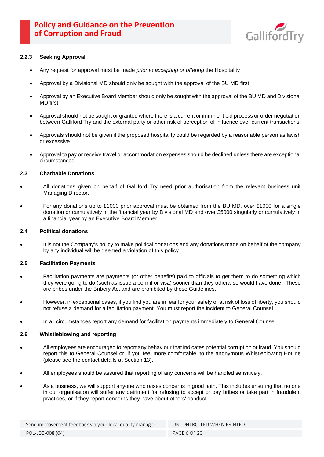

# **2.2.3 Seeking Approval**

- Any request for approval must be made *prior to accepting or offering* the Hospitality
- Approval by a Divisional MD should only be sought with the approval of the BU MD first
- Approval by an Executive Board Member should only be sought with the approval of the BU MD and Divisional MD first
- Approval should not be sought or granted where there is a current or imminent bid process or order negotiation between Galliford Try and the external party or other risk of perception of influence over current transactions
- Approvals should not be given if the proposed hospitality could be regarded by a reasonable person as lavish or excessive
- Approval to pay or receive travel or accommodation expenses should be declined unless there are exceptional circumstances

### **2.3 Charitable Donations**

- All donations given on behalf of Galliford Try need prior authorisation from the relevant business unit Managing Director.
- For any donations up to £1000 prior approval must be obtained from the BU MD, over £1000 for a single donation or cumulatively in the financial year by Divisional MD and over £5000 singularly or cumulatively in a financial year by an Executive Board Member

### **2.4 Political donations**

It is not the Company's policy to make political donations and any donations made on behalf of the company by any individual will be deemed a violation of this policy.

### **2.5 Facilitation Payments**

- Facilitation payments are payments (or other benefits) paid to officials to get them to do something which they were going to do (such as issue a permit or visa) sooner than they otherwise would have done. These are bribes under the Bribery Act and are prohibited by these Guidelines.
- However, in exceptional cases, if you find you are in fear for your safety or at risk of loss of liberty, you should not refuse a demand for a facilitation payment. You must report the incident to General Counsel.
- In all circumstances report any demand for facilitation payments immediately to General Counsel.

### **2.6 Whistleblowing and reporting**

- All employees are encouraged to report any behaviour that indicates potential corruption or fraud. You should report this to General Counsel or, if you feel more comfortable, to the anonymous Whistleblowing Hotline (please see the contact details at Section 13).
- All employees should be assured that reporting of any concerns will be handled sensitively.
- As a business, we will support anyone who raises concerns in good faith. This includes ensuring that no one in our organisation will suffer any detriment for refusing to accept or pay bribes or take part in fraudulent practices, or if they report concerns they have about others' conduct.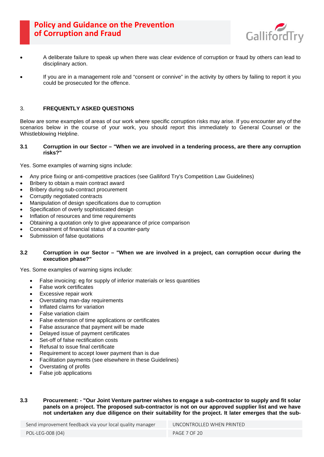

- <span id="page-6-0"></span>• A deliberate failure to speak up when there was clear evidence of corruption or fraud by others can lead to disciplinary action.
- If you are in a management role and "consent or connive" in the activity by others by failing to report it you could be prosecuted for the offence.

# 3. **FREQUENTLY ASKED QUESTIONS**

Below are some examples of areas of our work where specific corruption risks may arise. If you encounter any of the scenarios below in the course of your work, you should report this immediately to General Counsel or the Whistleblowing Helpline.

### **3.1 Corruption in our Sector – "When we are involved in a tendering process, are there any corruption risks?"**

Yes. Some examples of warning signs include:

- Any price fixing or anti-competitive practices (see Galliford Try's Competition Law Guidelines)
- Bribery to obtain a main contract award
- Bribery during sub-contract procurement
- Corruptly negotiated contracts
- Manipulation of design specifications due to corruption
- Specification of overly sophisticated design
- Inflation of resources and time requirements
- Obtaining a quotation only to give appearance of price comparison
- Concealment of financial status of a counter-party
- Submission of false quotations

# **3.2 Corruption in our Sector – "When we are involved in a project, can corruption occur during the execution phase?"**

Yes. Some examples of warning signs include:

- False invoicing: eg for supply of inferior materials or less quantities
- False work certificates
- **Excessive repair work**
- Overstating man-day requirements
- Inflated claims for variation
- False variation claim
- False extension of time applications or certificates
- False assurance that payment will be made
- Delayed issue of payment certificates
- Set-off of false rectification costs
- Refusal to issue final certificate
- Requirement to accept lower payment than is due
- Facilitation payments (see elsewhere in these Guidelines)
- Overstating of profits
- False job applications

# **3.3 Procurement: - "Our Joint Venture partner wishes to engage a sub-contractor to supply and fit solar panels on a project. The proposed sub-contractor is not on our approved supplier list and we have not undertaken any due diligence on their suitability for the project. It later emerges that the sub-**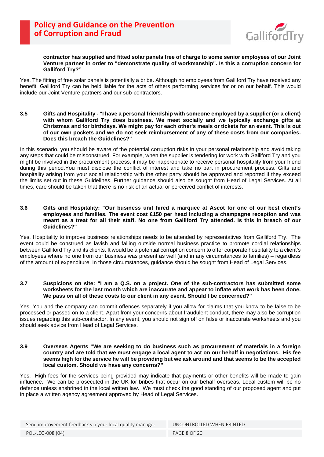

### **contractor has supplied and fitted solar panels free of charge to some senior employees of our Joint Venture partner in order to "demonstrate quality of workmanship". Is this a corruption concern for Galliford Try?"**

Yes. The fitting of free solar panels is potentially a bribe. Although no employees from Galliford Try have received any benefit, Galliford Try can be held liable for the acts of others performing services for or on our behalf. This would include our Joint Venture partners and our sub-contractors.

**3.5 Gifts and Hospitality - "I have a personal friendship with someone employed by a supplier (or a client) with whom Galliford Try does business. We meet socially and we typically exchange gifts at Christmas and for birthdays. We might pay for each other's meals or tickets for an event. This is out of our own pockets and we do not seek reimbursement of any of these costs from our companies. Does this breach the Guidelines?"**

In this scenario, you should be aware of the potential corruption risks in your personal relationship and avoid taking any steps that could be misconstrued. For example, when the supplier is tendering for work with Galliford Try and you might be involved in the procurement process, it may be inappropriate to receive personal hospitality from your friend during this period.You must disclose the conflict of interest and take no part in procurement process. Gifts and hospitality arising from your social relationship with the other party should be approved and reported if they exceed the limits set out in these Guidelines. Further guidance should also be sought from Head of Legal Services. At all times, care should be taken that there is no risk of an actual or perceived conflict of interests.

### **3.6 Gifts and Hospitality: "Our business unit hired a marquee at Ascot for one of our best client's employees and families. The event cost £150 per head including a champagne reception and was meant as a treat for all their staff. No one from Galliford Try attended. Is this in breach of our Guidelines?"**

Yes. Hospitality to improve business relationships needs to be attended by representatives from Galliford Try. The event could be construed as lavish and falling outside normal business practice to promote cordial relationships between Galliford Try and its clients. It would be a potential corruption concern to offer corporate hospitality to a client's employees where no one from our business was present as well (and in any circumstances to families) – regardless of the amount of expenditure. In those circumstances, guidance should be sought from Head of Legal Services.

### **3.7 Suspicions on site: "I am a Q.S. on a project. One of the sub-contractors has submitted some worksheets for the last month which are inaccurate and appear to inflate what work has been done. We pass on all of these costs to our client in any event. Should I be concerned?"**

Yes. You and the company can commit offences separately if you allow for claims that you know to be false to be processed or passed on to a client. Apart from your concerns about fraudulent conduct, there may also be corruption issues regarding this sub-contractor. In any event, you should not sign off on false or inaccurate worksheets and you should seek advice from Head of Legal Services.

### **3.9 Overseas Agents "We are seeking to do business such as procurement of materials in a foreign country and are told that we must engage a local agent to act on our behalf in negotiations. His fee seems high for the service he will be providing but we ask around and that seems to be the accepted local custom. Should we have any concerns?"**

Yes. High fees for the services being provided may indicate that payments or other benefits will be made to gain influence. We can be prosecuted in the UK for bribes that occur on our behalf overseas. Local custom will be no defence unless enshrined in the local written law. We must check the good standing of our proposed agent and put in place a written agency agreement approved by Head of Legal Services.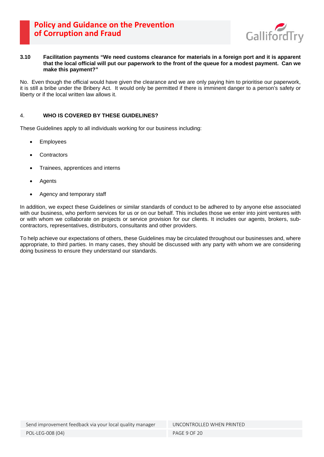

### <span id="page-8-0"></span>**3.10 Facilitation payments "We need customs clearance for materials in a foreign port and it is apparent that the local official will put our paperwork to the front of the queue for a modest payment. Can we make this payment?"**

No. Even though the official would have given the clearance and we are only paying him to prioritise our paperwork, it is still a bribe under the Bribery Act. It would only be permitted if there is imminent danger to a person's safety or liberty or if the local written law allows it.

# 4. **WHO IS COVERED BY THESE GUIDELINES?**

These Guidelines apply to all individuals working for our business including:

- **Employees**
- **Contractors**
- Trainees, apprentices and interns
- **Agents**
- Agency and temporary staff

In addition, we expect these Guidelines or similar standards of conduct to be adhered to by anyone else associated with our business, who perform services for us or on our behalf. This includes those we enter into joint ventures with or with whom we collaborate on projects or service provision for our clients. It includes our agents, brokers, subcontractors, representatives, distributors, consultants and other providers.

To help achieve our expectations of others, these Guidelines may be circulated throughout our businesses and, where appropriate, to third parties. In many cases, they should be discussed with any party with whom we are considering doing business to ensure they understand our standards.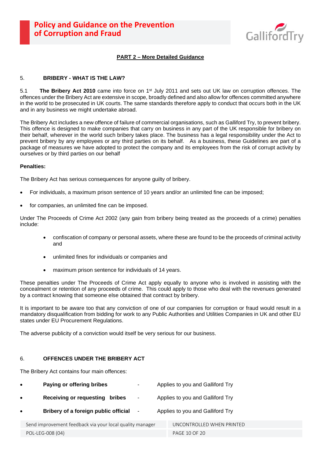

# <span id="page-9-0"></span>**PART 2 – More Detailed Guidance**

# <span id="page-9-1"></span>5. **BRIBERY - WHAT IS THE LAW?**

5.1 **The Bribery Act 2010** came into force on 1st July 2011 and sets out UK law on corruption offences. The offences under the Bribery Act are extensive in scope, broadly defined and also allow for offences committed anywhere in the world to be prosecuted in UK courts. The same standards therefore apply to conduct that occurs both in the UK and in any business we might undertake abroad.

The Bribery Act includes a new offence of failure of commercial organisations, such as Galliford Try, to prevent bribery. This offence is designed to make companies that carry on business in any part of the UK responsible for bribery on their behalf, wherever in the world such bribery takes place. The business has a legal responsibility under the Act to prevent bribery by any employees or any third parties on its behalf. As a business, these Guidelines are part of a package of measures we have adopted to protect the company and its employees from the risk of corrupt activity by ourselves or by third parties on our behalf

### **Penalties:**

The Bribery Act has serious consequences for anyone guilty of bribery.

- For individuals, a maximum prison sentence of 10 years and/or an unlimited fine can be imposed;
- for companies, an unlimited fine can be imposed.

Under The Proceeds of Crime Act 2002 (any gain from bribery being treated as the proceeds of a crime) penalties include:

- confiscation of company or personal assets, where these are found to be the proceeds of criminal activity and
- unlimited fines for individuals or companies and
- maximum prison sentence for individuals of 14 years.

These penalties under The Proceeds of Crime Act apply equally to anyone who is involved in assisting with the concealment or retention of any proceeds of crime. This could apply to those who deal with the revenues generated by a contract knowing that someone else obtained that contract by bribery.

It is important to be aware too that any conviction of one of our companies for corruption or fraud would result in a mandatory disqualification from bidding for work to any Public Authorities and Utilities Companies in UK and other EU states under EU Procurement Regulations.

The adverse publicity of a conviction would itself be very serious for our business.

### 6. **OFFENCES UNDER THE BRIBERY ACT**

The Bribery Act contains four main offences:

| $\bullet$ | Paying or offering bribes                                | $\overline{\phantom{a}}$ | Applies to you and Galliford Try |  |
|-----------|----------------------------------------------------------|--------------------------|----------------------------------|--|
| $\bullet$ | Receiving or requesting bribes                           | $\overline{\phantom{a}}$ | Applies to you and Galliford Try |  |
| $\bullet$ | Bribery of a foreign public official                     | $\blacksquare$           | Applies to you and Galliford Try |  |
|           | Send improvement feedback via your local quality manager |                          | UNCONTROLLED WHEN PRINTED        |  |
|           |                                                          |                          |                                  |  |

POL-LEG-008 (04) POL-LEG-008 (04)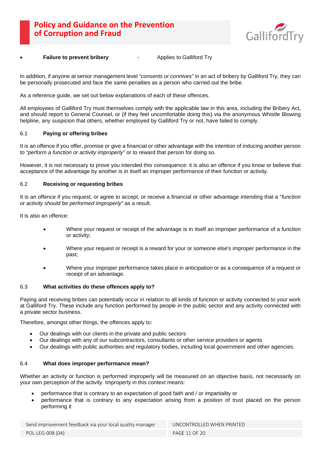

# **Failure to prevent bribery** Failure to Galliford Try

In addition, if anyone at senior management level *"consents or connives"* in an act of bribery by Galliford Try, they can be personally prosecuted and face the same penalties as a person who carried out the bribe.

As a reference guide, we set out below explanations of each of these offences.

All employees of Galliford Try must themselves comply with the applicable law in this area, including the Bribery Act, and should report to General Counsel, or (if they feel uncomfortable doing this) via the anonymous Whistle Blowing helpline, any suspicion that others, whether employed by Galliford Try or not, have failed to comply.

### 6.1 **Paying or offering bribes**

It is an offence if you offer, promise or give a financial or other advantage with the intention of inducing another person to *"perform a function or activity improperly"* or to reward that person for doing so.

However, it is not necessary to prove you intended this consequence: it is also an offence if you know or believe that acceptance of the advantage by another is in itself an improper performance of their function or activity.

### 6.2 **Receiving or requesting bribes**

It is an offence if you request, or agree to accept, or receive a financial or other advantage intending that a "*function or activity should be performed improperly"* as a result.

It is also an offence:

- Where your request or receipt of the advantage is in itself an improper performance of a function or activity;
- Where your request or receipt is a reward for your or someone else's improper performance in the past;
- Where your improper performance takes place in anticipation or as a consequence of a request or receipt of an advantage.

#### 6.3 **What activities do these offences apply to?**

Paying and receiving bribes can potentially occur in relation to all kinds of function or activity connected to your work at Galliford Try. These include any function performed by people in the public sector and any activity connected with a private sector business.

Therefore, amongst other things, the offences apply to:

- Our dealings with our clients in the private and public sectors
- Our dealings with any of our subcontractors, consultants or other service providers or agents
- Our dealings with public authorities and regulatory bodies, including local government and other agencies.

#### 6.4 **What does improper performance mean?**

Whether an activity or function is performed improperly will be measured on an objective basis, not necessarily on your own perception of the activity. Improperly in this context means:

- performance that is contrary to an expectation of good faith and / or impartiality or
- performance that is contrary to any expectation arising from a position of trust placed on the person performing it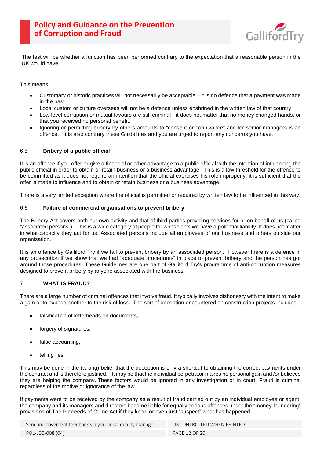

<span id="page-11-0"></span>The test will be whether a function has been performed contrary to the expectation that a reasonable person in the UK would have.

This means:

- Customary or historic practices will not necessarily be acceptable it is no defence that a payment was made in the past.
- Local custom or culture overseas will not be a defence unless enshrined in the written law of that country.
- Low level corruption or mutual favours are still criminal it does not matter that no money changed hands, or that you received no personal benefit.
- Ignoring or permitting bribery by others amounts to "consent or connivance" and for senior managers is an offence. It is also contrary these Guidelines and you are urged to report any concerns you have.

# 6.5 **Bribery of a public official**

It is an offence if you offer or give a financial or other advantage to a public official with the intention of influencing the public official in order to obtain or retain business or a business advantage. This is a low threshold for the offence to be committed as it does not require an intention that the official exercises his role improperly; it is sufficient that the offer is made to influence and to obtain or retain business or a business advantage.

There is a very limited exception where the official is permitted or required by written law to be influenced in this way.

# 6.6 **Failure of commercial organisations to prevent bribery**

The Bribery Act covers both our own activity and that of third parties providing services for or on behalf of us (called "associated persons"). This is a wide category of people for whose acts we have a potential liability. It does not matter in what capacity they act for us. Associated persons include all employees of our business and others outside our organisation.

It is an offence by Galliford Try if we fail to prevent bribery by an associated person. However there is a defence in any prosecution if we show that we had "adequate procedures" in place to prevent bribery and the person has got around those procedures. These Guidelines are one part of Galliford Try's programme of anti-corruption measures designed to prevent bribery by anyone associated with the business.

# 7. **WHAT IS FRAUD?**

There are a large number of criminal offences that involve fraud. It typically involves dishonesty with the intent to make a gain or to expose another to the risk of loss. The sort of deception encountered on construction projects includes:

- falsification of letterheads on documents,
- forgery of signatures,
- false accounting,
- telling lies

This may be done in the (wrong) belief that the deception is only a shortcut to obtaining the correct payments under the contract and is therefore justified. It may be that the individual perpetrator makes no personal gain and /or believes they are helping the company. These factors would be ignored in any investigation or in court. Fraud is criminal regardless of the motive or ignorance of the law.

If payments were to be received by the company as a result of fraud carried out by an individual employee or agent, the company and its managers and directors become liable for equally serious offences under the "money-laundering" provisions of The Proceeds of Crime Act if they know or even just "suspect" what has happened.

Send improvement feedback via your local quality manager UNCONTROLLED WHEN PRINTED POL-LEG-008 (04) PAGE 12 OF 20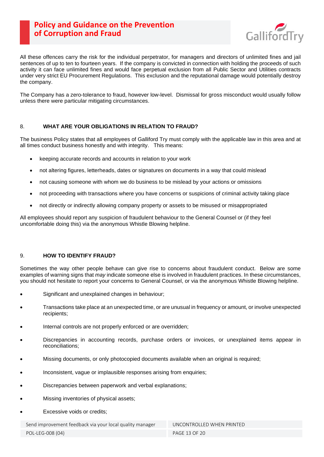

<span id="page-12-0"></span>All these offences carry the risk for the individual perpetrator, for managers and directors of unlimited fines and jail sentences of up to ten to fourteen years. If the company is convicted in connection with holding the proceeds of such activity it can face unlimited fines and would face perpetual exclusion from all Public Sector and Utilities contracts under very strict EU Procurement Regulations. This exclusion and the reputational damage would potentially destroy the company.

The Company has a zero-tolerance to fraud, however low-level. Dismissal for gross misconduct would usually follow unless there were particular mitigating circumstances.

# 8. **WHAT ARE YOUR OBLIGATIONS IN RELATION TO FRAUD?**

The business Policy states that all employees of Galliford Try must comply with the applicable law in this area and at all times conduct business honestly and with integrity. This means:

- keeping accurate records and accounts in relation to your work
- not altering figures, letterheads, dates or signatures on documents in a way that could mislead
- not causing someone with whom we do business to be mislead by your actions or omissions
- not proceeding with transactions where you have concerns or suspicions of criminal activity taking place
- not directly or indirectly allowing company property or assets to be misused or misappropriated

All employees should report any suspicion of fraudulent behaviour to the General Counsel or (if they feel uncomfortable doing this) via the anonymous Whistle Blowing helpline.

# 9. **HOW TO IDENTIFY FRAUD?**

Sometimes the way other people behave can give rise to concerns about fraudulent conduct. Below are some examples of warning signs that *may* indicate someone else is involved in fraudulent practices. In these circumstances, you should not hesitate to report your concerns to General Counsel, or via the anonymous Whistle Blowing helpline.

- Significant and unexplained changes in behaviour;
- Transactions take place at an unexpected time, or are unusual in frequency or amount, or involve unexpected recipients;
- Internal controls are not properly enforced or are overridden;
- Discrepancies in accounting records, purchase orders or invoices, or unexplained items appear in reconciliations;
- Missing documents, or only photocopied documents available when an original is required;
- Inconsistent, vague or implausible responses arising from enquiries;
- Discrepancies between paperwork and verbal explanations;
- Missing inventories of physical assets;
- Excessive voids or credits:

Send improvement feedback via your local quality manager UNCONTROLLED WHEN PRINTED

POL-LEG-008 (04) PAGE 13 OF 20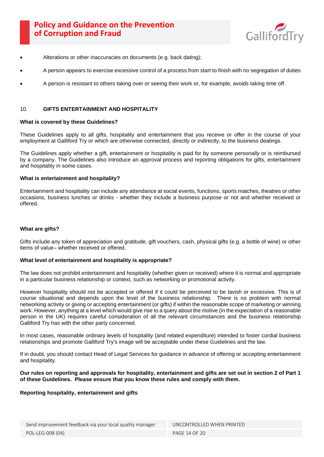

- <span id="page-13-0"></span>Alterations or other inaccuracies on documents (e.g. back dating);
- A person appears to exercise excessive control of a process from start to finish with no segregation of duties
- A person is resistant to others taking over or seeing their work or, for example, avoids taking time off.

# 10. **GIFTS ENTERTAINMENT AND HOSPITALITY**

### **What is covered by these Guidelines?**

These Guidelines apply to all gifts, hospitality and entertainment that you receive or offer in the course of your employment at Galliford Try or which are otherwise connected, directly or indirectly, to the business dealings.

The Guidelines apply whether a gift, entertainment or hospitality is paid for by someone personally or is reimbursed by a company. The Guidelines also introduce an approval process and reporting obligations for gifts, entertainment and hospitality in some cases.

### **What is entertainment and hospitality?**

Entertainment and hospitality can include any attendance at social events, functions, sports matches, theatres or other occasions, business lunches or drinks - whether they include a business purpose or not and whether received or offered.

### **What are gifts?**

Gifts include any token of appreciation and gratitude, gift vouchers, cash, physical gifts (e.g. a bottle of wine) or other items of value– whether received or offered.

### **What level of entertainment and hospitality is appropriate?**

The law does not prohibit entertainment and hospitality (whether given or received) where it is normal and appropriate in a particular business relationship or context, such as networking or promotional activity.

However hospitality should not be accepted or offered if it could be perceived to be lavish or excessive. This is of course situational and depends upon the level of the business relationship. There is no problem with normal networking activity or giving or accepting entertainment (or gifts) if within the reasonable scope of marketing or winning work. However, anything at a level which would give rise to a query about the motive (in the expectation of a reasonable person in the UK) requires careful consideration of all the relevant circumstances and the business relationship Galliford Try has with the other party concerned.

In most cases, reasonable ordinary levels of hospitality (and related expenditure) intended to foster cordial business relationships and promote Galliford Try's image will be acceptable under these Guidelines and the law.

If in doubt, you should contact Head of Legal Services for guidance in advance of offering or accepting entertainment and hospitality.

### **Our rules on reporting and approvals for hospitality, entertainment and gifts are set out in section 2 of Part 1 of these Guidelines. Please ensure that you know these rules and comply with them.**

### **Reporting hospitality, entertainment and gifts**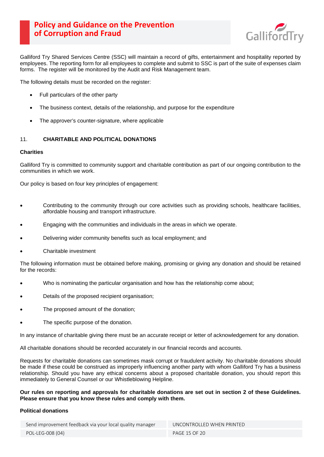

<span id="page-14-0"></span>Galliford Try Shared Services Centre (SSC) will maintain a record of gifts, entertainment and hospitality reported by employees. The reporting form for all employees to complete and submit to SSC is part of the suite of expenses claim forms. The register will be monitored by the Audit and Risk Management team.

The following details must be recorded on the register:

- Full particulars of the other party
- The business context, details of the relationship, and purpose for the expenditure
- The approver's counter-signature, where applicable

# 11. **CHARITABLE AND POLITICAL DONATIONS**

### **Charities**

Galliford Try is committed to community support and charitable contribution as part of our ongoing contribution to the communities in which we work.

Our policy is based on four key principles of engagement:

- Contributing to the community through our core activities such as providing schools, healthcare facilities, affordable housing and transport infrastructure.
- Engaging with the communities and individuals in the areas in which we operate.
- Delivering wider community benefits such as local employment; and
- Charitable investment

The following information must be obtained before making, promising or giving any donation and should be retained for the records:

- Who is nominating the particular organisation and how has the relationship come about;
- Details of the proposed recipient organisation;
- The proposed amount of the donation;
- The specific purpose of the donation.

In any instance of charitable giving there must be an accurate receipt or letter of acknowledgement for any donation.

All charitable donations should be recorded accurately in our financial records and accounts.

Requests for charitable donations can sometimes mask corrupt or fraudulent activity. No charitable donations should be made if these could be construed as improperly influencing another party with whom Galliford Try has a business relationship. Should you have any ethical concerns about a proposed charitable donation, you should report this immediately to General Counsel or our Whistleblowing Helpline.

**Our rules on reporting and approvals for charitable donations are set out in section 2 of these Guidelines. Please ensure that you know these rules and comply with them.**

### **Political donations**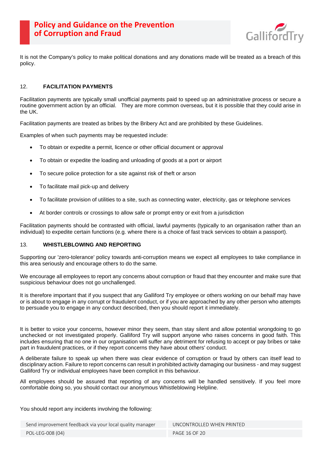

<span id="page-15-0"></span>It is not the Company's policy to make political donations and any donations made will be treated as a breach of this policy.

# 12. **FACILITATION PAYMENTS**

Facilitation payments are typically small unofficial payments paid to speed up an administrative process or secure a routine government action by an official. They are more common overseas, but it is possible that they could arise in the UK.

Facilitation payments are treated as bribes by the Bribery Act and are prohibited by these Guidelines.

Examples of when such payments may be requested include:

- To obtain or expedite a permit, licence or other official document or approval
- To obtain or expedite the loading and unloading of goods at a port or airport
- To secure police protection for a site against risk of theft or arson
- To facilitate mail pick-up and delivery
- To facilitate provision of utilities to a site, such as connecting water, electricity, gas or telephone services
- At border controls or crossings to allow safe or prompt entry or exit from a jurisdiction

Facilitation payments should be contrasted with official, lawful payments (typically to an organisation rather than an individual) to expedite certain functions (e.g. where there is a choice of fast track services to obtain a passport).

#### 13. **WHISTLEBLOWING AND REPORTING**

Supporting our 'zero-tolerance' policy towards anti-corruption means we expect all employees to take compliance in this area seriously and encourage others to do the same.

We encourage all employees to report any concerns about corruption or fraud that they encounter and make sure that suspicious behaviour does not go unchallenged.

It is therefore important that if you suspect that any Galliford Try employee or others working on our behalf may have or is about to engage in any corrupt or fraudulent conduct, or if you are approached by any other person who attempts to persuade you to engage in any conduct described, then you should report it immediately.

It is better to voice your concerns, however minor they seem, than stay silent and allow potential wrongdoing to go unchecked or not investigated properly. Galliford Try will support anyone who raises concerns in good faith. This includes ensuring that no one in our organisation will suffer any detriment for refusing to accept or pay bribes or take part in fraudulent practices, or if they report concerns they have about others' conduct.

A deliberate failure to speak up when there was clear evidence of corruption or fraud by others can itself lead to disciplinary action. Failure to report concerns can result in prohibited activity damaging our business - and may suggest Galliford Try or individual employees have been complicit in this behaviour.

All employees should be assured that reporting of any concerns will be handled sensitively. If you feel more comfortable doing so, you should contact our anonymous Whistleblowing Helpline.

### You should report any incidents involving the following: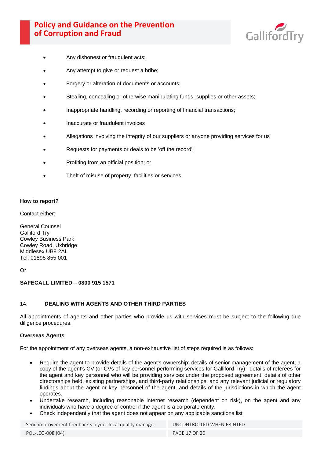

- <span id="page-16-0"></span>Any dishonest or fraudulent acts;
- Any attempt to give or request a bribe;
- Forgery or alteration of documents or accounts:
- Stealing, concealing or otherwise manipulating funds, supplies or other assets;
- Inappropriate handling, recording or reporting of financial transactions;
- Inaccurate or fraudulent invoices
- Allegations involving the integrity of our suppliers or anyone providing services for us
- Requests for payments or deals to be 'off the record';
- Profiting from an official position; or
- Theft of misuse of property, facilities or services.

### **How to report?**

Contact either:

General Counsel Galliford Try Cowley Business Park Cowley Road, Uxbridge Middlesex UB8 2AL Tel: 01895 855 001

# Or

# **SAFECALL LIMITED – 0800 915 1571**

### 14. **DEALING WITH AGENTS AND OTHER THIRD PARTIES**

All appointments of agents and other parties who provide us with services must be subject to the following due diligence procedures.

### **Overseas Agents**

For the appointment of any overseas agents, a non-exhaustive list of steps required is as follows:

- Require the agent to provide details of the agent's ownership; details of senior management of the agent; a copy of the agent's CV (or CVs of key personnel performing services for Galliford Try); details of referees for the agent and key personnel who will be providing services under the proposed agreement; details of other directorships held, existing partnerships, and third-party relationships, and any relevant judicial or regulatory findings about the agent or key personnel of the agent, and details of the jurisdictions in which the agent operates.
- Undertake research, including reasonable internet research (dependent on risk), on the agent and any individuals who have a degree of control if the agent is a corporate entity.
- Check independently that the agent does not appear on any applicable sanctions list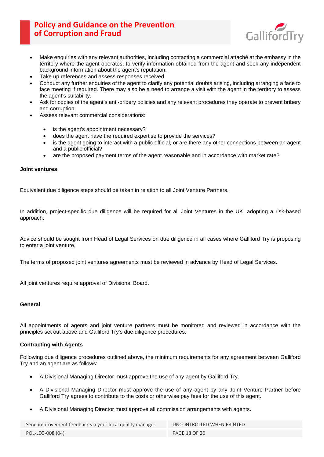

- Make enquiries with any relevant authorities, including contacting a commercial attaché at the embassy in the territory where the agent operates, to verify information obtained from the agent and seek any independent background information about the agent's reputation.
- Take up references and assess responses received
- Conduct any further enquiries of the agent to clarify any potential doubts arising, including arranging a face to face meeting if required. There may also be a need to arrange a visit with the agent in the territory to assess the agent's suitability.
- Ask for copies of the agent's anti-bribery policies and any relevant procedures they operate to prevent bribery and corruption
- Assess relevant commercial considerations:
	- is the agent's appointment necessary?
	- does the agent have the required expertise to provide the services?
	- is the agent going to interact with a public official, or are there any other connections between an agent and a public official?
	- are the proposed payment terms of the agent reasonable and in accordance with market rate?

# **Joint ventures**

Equivalent due diligence steps should be taken in relation to all Joint Venture Partners.

In addition, project-specific due diligence will be required for all Joint Ventures in the UK, adopting a risk-based approach.

Advice should be sought from Head of Legal Services on due diligence in all cases where Galliford Try is proposing to enter a joint venture,

The terms of proposed joint ventures agreements must be reviewed in advance by Head of Legal Services.

All joint ventures require approval of Divisional Board.

### **General**

All appointments of agents and joint venture partners must be monitored and reviewed in accordance with the principles set out above and Galliford Try's due diligence procedures.

### **Contracting with Agents**

Following due diligence procedures outlined above, the minimum requirements for any agreement between Galliford Try and an agent are as follows:

- A Divisional Managing Director must approve the use of any agent by Galliford Try.
- A Divisional Managing Director must approve the use of any agent by any Joint Venture Partner before Galliford Try agrees to contribute to the costs or otherwise pay fees for the use of this agent.
- A Divisional Managing Director must approve all commission arrangements with agents.

Send improvement feedback via your local quality manager UNCONTROLLED WHEN PRINTED POL-LEG-008 (04) PAGE 18 OF 20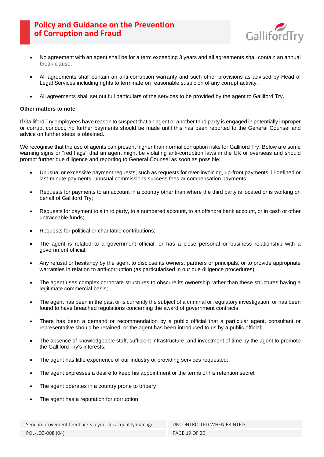

- No agreement with an agent shall be for a term exceeding 3 years and all agreements shall contain an annual break clause.
- All agreements shall contain an anti-corruption warranty and such other provisions as advised by Head of Legal Services including rights to terminate on reasonable suspicion of any corrupt activity.
- All agreements shall set out full particulars of the services to be provided by the agent to Galliford Try.

### **Other matters to note**

If Galliford Try employees have reason to suspect that an agent or another third party is engaged in potentially improper or corrupt conduct, no further payments should be made until this has been reported to the General Counsel and advice on further steps is obtained.

We recognise that the use of agents can present higher than normal corruption risks for Galliford Try. Below are some warning signs or "red flags" that an agent might be violating anti-corruption laws in the UK or overseas and should prompt further due diligence and reporting to General Counsel as soon as possible:

- Unusual or excessive payment requests, such as requests for over-invoicing, up-front payments, ill-defined or last-minute payments, unusual commissions success fees or compensation payments;
- Requests for payments to an account in a country other than where the third party is located or is working on behalf of Galliford Try;
- Requests for payment to a third party, to a numbered account, to an offshore bank account, or in cash or other untraceable funds;
- Requests for political or charitable contributions;
- The agent is related to a government official, or has a close personal or business relationship with a government official;
- Any refusal or hesitancy by the agent to disclose its owners, partners or principals, or to provide appropriate warranties in relation to anti-corruption (as particularised in our due diligence procedures);
- The agent uses complex corporate structures to obscure its ownership rather than these structures having a legitimate commercial basis;
- The agent has been in the past or is currently the subject of a criminal or regulatory investigation, or has been found to have breached regulations concerning the award of government contracts;
- There has been a demand or recommendation by a public official that a particular agent, consultant or representative should be retained, or the agent has been introduced to us by a public official;
- The absence of knowledgeable staff, sufficient infrastructure, and investment of time by the agent to promote the Galliford Try's interests;
- The agent has little experience of our industry or providing services requested:
- The agent expresses a desire to keep his appointment or the terms of his retention secret
- The agent operates in a country prone to bribery
- The agent has a reputation for corruption